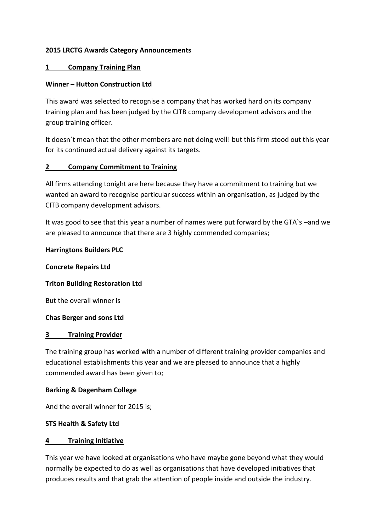## **2015 LRCTG Awards Category Announcements**

### **1 Company Training Plan**

### **Winner – Hutton Construction Ltd**

This award was selected to recognise a company that has worked hard on its company training plan and has been judged by the CITB company development advisors and the group training officer.

It doesn`t mean that the other members are not doing well! but this firm stood out this year for its continued actual delivery against its targets.

## **2 Company Commitment to Training**

All firms attending tonight are here because they have a commitment to training but we wanted an award to recognise particular success within an organisation, as judged by the CITB company development advisors.

It was good to see that this year a number of names were put forward by the GTA`s –and we are pleased to announce that there are 3 highly commended companies;

### **Harringtons Builders PLC**

**Concrete Repairs Ltd**

### **Triton Building Restoration Ltd**

But the overall winner is

### **Chas Berger and sons Ltd**

### **3 Training Provider**

The training group has worked with a number of different training provider companies and educational establishments this year and we are pleased to announce that a highly commended award has been given to;

### **Barking & Dagenham College**

And the overall winner for 2015 is;

## **STS Health & Safety Ltd**

### **4 Training Initiative**

This year we have looked at organisations who have maybe gone beyond what they would normally be expected to do as well as organisations that have developed initiatives that produces results and that grab the attention of people inside and outside the industry.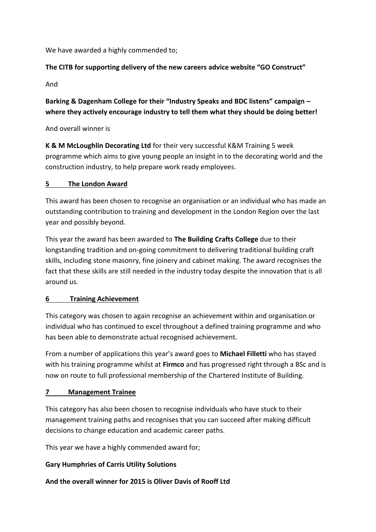We have awarded a highly commended to;

# **The CITB for supporting delivery of the new careers advice website "GO Construct"**

And

# **Barking & Dagenham College for their "Industry Speaks and BDC listens" campaign – where they actively encourage industry to tell them what they should be doing better!**

And overall winner is

**K & M McLoughlin Decorating Ltd** for their very successful K&M Training 5 week programme which aims to give young people an insight in to the decorating world and the construction industry, to help prepare work ready employees.

# **5 The London Award**

This award has been chosen to recognise an organisation or an individual who has made an outstanding contribution to training and development in the London Region over the last year and possibly beyond.

This year the award has been awarded to **The Building Crafts College** due to their longstanding tradition and on-going commitment to delivering traditional building craft skills, including stone masonry, fine joinery and cabinet making. The award recognises the fact that these skills are still needed in the industry today despite the innovation that is all around us.

# **6 Training Achievement**

This category was chosen to again recognise an achievement within and organisation or individual who has continued to excel throughout a defined training programme and who has been able to demonstrate actual recognised achievement.

From a number of applications this year's award goes to **Michael Filletti** who has stayed with his training programme whilst at **Firmco** and has progressed right through a BSc and is now on route to full professional membership of the Chartered Institute of Building.

# **7 Management Trainee**

This category has also been chosen to recognise individuals who have stuck to their management training paths and recognises that you can succeed after making difficult decisions to change education and academic career paths.

This year we have a highly commended award for;

# **Gary Humphries of Carris Utility Solutions**

**And the overall winner for 2015 is Oliver Davis of Rooff Ltd**